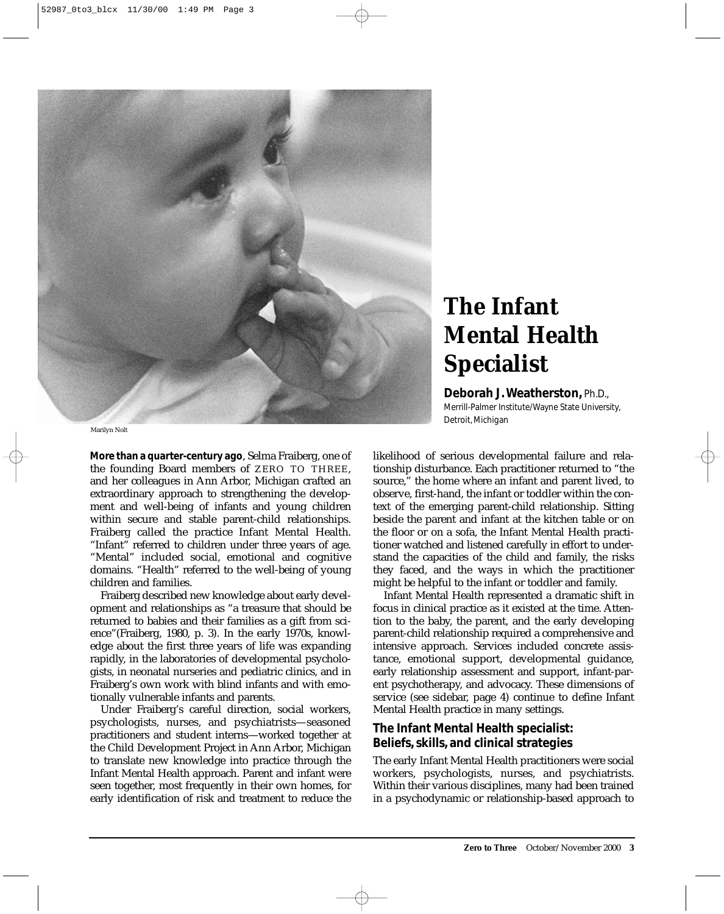

# **The Infant Mental Health Specialist**

**Deborah J. Weatherston,** Ph.D., Merrill-Palmer Institute/Wayne State University, Detroit, Michigan

Marilyn Nolt

**More than a quarter-century ago**, Selma Fraiberg, one of the founding Board members of ZERO TO THREE, and her colleagues in Ann Arbor, Michigan crafted an extraordinary approach to strengthening the development and well-being of infants and young children within secure and stable parent-child relationships. Fraiberg called the practice Infant Mental Health. "Infant" referred to children under three years of age. "Mental" included social, emotional and cognitive domains. "Health" referred to the well-being of young children and families.

Fraiberg described new knowledge about early development and relationships as "a treasure that should be returned to babies and their families as a gift from science"(Fraiberg, 1980, p. 3). In the early 1970s, knowledge about the first three years of life was expanding rapidly, in the laboratories of developmental psychologists, in neonatal nurseries and pediatric clinics, and in Fraiberg's own work with blind infants and with emotionally vulnerable infants and parents.

Under Fraiberg's careful direction, social workers, psychologists, nurses, and psychiatrists—seasoned practitioners and student interns—worked together at the Child Development Project in Ann Arbor, Michigan to translate new knowledge into practice through the Infant Mental Health approach. Parent and infant were seen together, most frequently in their own homes, for early identification of risk and treatment to reduce the

likelihood of serious developmental failure and relationship disturbance. Each practitioner returned to "the source," the home where an infant and parent lived, to observe, first-hand, the infant or toddler within the context of the emerging parent-child relationship. Sitting beside the parent and infant at the kitchen table or on the floor or on a sofa, the Infant Mental Health practitioner watched and listened carefully in effort to understand the capacities of the child and family, the risks they faced, and the ways in which the practitioner might be helpful to the infant or toddler and family.

Infant Mental Health represented a dramatic shift in focus in clinical practice as it existed at the time. Attention to the baby, the parent, and the early developing parent-child relationship required a comprehensive and intensive approach. Services included concrete assistance, emotional support, developmental guidance, early relationship assessment and support, infant-parent psychotherapy, and advocacy. These dimensions of service (see sidebar, page 4) continue to define Infant Mental Health practice in many settings.

# **The Infant Mental Health specialist: Beliefs, skills, and clinical strategies**

The early Infant Mental Health practitioners were social workers, psychologists, nurses, and psychiatrists. Within their various disciplines, many had been trained in a psychodynamic or relationship-based approach to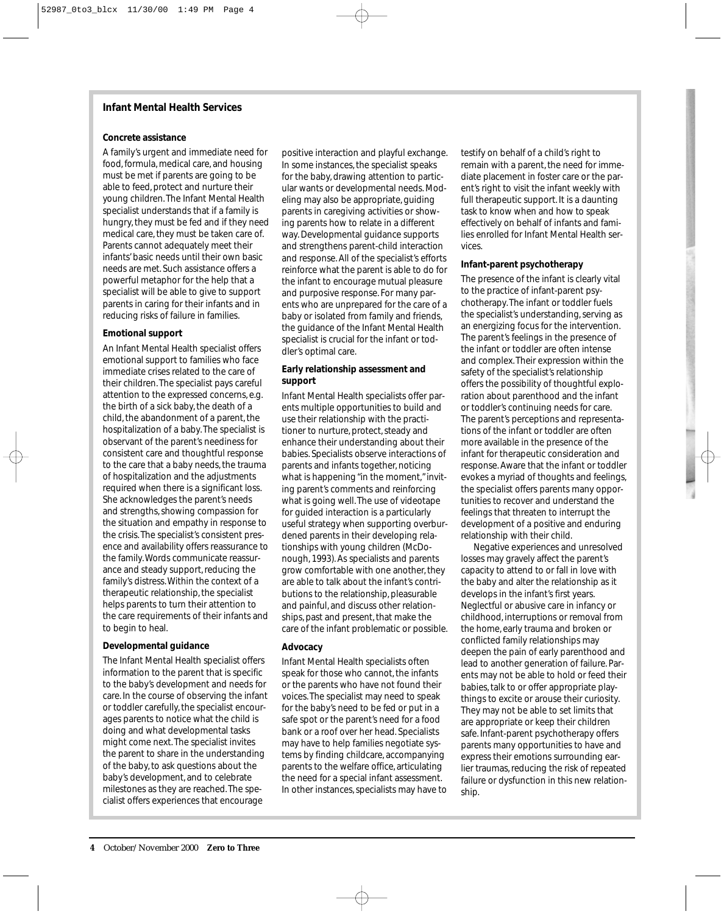#### **Infant Mental Health Services**

#### **Concrete assistance**

A family's urgent and immediate need for food, formula, medical care, and housing must be met if parents are going to be able to feed, protect and nurture their young children. The Infant Mental Health specialist understands that if a family is hungry, they must be fed and if they need medical care, they must be taken care of. Parents cannot adequately meet their infants' basic needs until their own basic needs are met. Such assistance offers a powerful metaphor for the help that a specialist will be able to give to support parents in caring for their infants and in reducing risks of failure in families.

## **Emotional support**

An Infant Mental Health specialist offers emotional support to families who face immediate crises related to the care of their children. The specialist pays careful attention to the expressed concerns, e.g. the birth of a sick baby, the death of a child, the abandonment of a parent, the hospitalization of a baby. The specialist is observant of the parent's neediness for consistent care and thoughtful response to the care that a baby needs, the trauma of hospitalization and the adjustments required when there is a significant loss. She acknowledges the parent's needs and strengths, showing compassion for the situation and empathy in response to the crisis. The specialist's consistent presence and availability offers reassurance to the family. Words communicate reassurance and steady support, reducing the family's distress. Within the context of a therapeutic relationship, the specialist helps parents to turn their attention to the care requirements of their infants and to begin to heal.

## **Developmental guidance**

The Infant Mental Health specialist offers information to the parent that is specific to the baby's development and needs for care. In the course of observing the infant or toddler carefully, the specialist encourages parents to notice what the child is doing and what developmental tasks might come next. The specialist invites the parent to share in the understanding of the baby, to ask questions about the baby's development, and to celebrate milestones as they are reached. The specialist offers experiences that encourage

positive interaction and playful exchange. In some instances, the specialist speaks for the baby, drawing attention to particular wants or developmental needs. Modeling may also be appropriate, guiding parents in caregiving activities or showing parents how to relate in a different way. Developmental guidance supports and strengthens parent-child interaction and response. All of the specialist's efforts reinforce what the parent is able to do for the infant to encourage mutual pleasure and purposive response. For many parents who are unprepared for the care of a baby or isolated from family and friends, the guidance of the Infant Mental Health specialist is crucial for the infant or toddler's optimal care.

#### **Early relationship assessment and support**

Infant Mental Health specialists offer parents multiple opportunities to build and use their relationship with the practitioner to nurture, protect, steady and enhance their understanding about their babies. Specialists observe interactions of parents and infants together, noticing what is happening "in the moment," inviting parent's comments and reinforcing what is going well. The use of videotape for guided interaction is a particularly useful strategy when supporting overburdened parents in their developing relationships with young children (McDonough, 1993). As specialists and parents grow comfortable with one another, they are able to talk about the infant's contributions to the relationship, pleasurable and painful, and discuss other relationships, past and present, that make the care of the infant problematic or possible.

## **Advocacy**

Infant Mental Health specialists often speak for those who cannot, the infants or the parents who have not found their voices. The specialist may need to speak for the baby's need to be fed or put in a safe spot or the parent's need for a food bank or a roof over her head. Specialists may have to help families negotiate systems by finding childcare, accompanying parents to the welfare office, articulating the need for a special infant assessment. In other instances, specialists may have to testify on behalf of a child's right to remain with a parent, the need for immediate placement in foster care or the parent's right to visit the infant weekly with full therapeutic support. It is a daunting task to know when and how to speak effectively on behalf of infants and families enrolled for Infant Mental Health services.

#### **Infant-parent psychotherapy**

The presence of the infant is clearly vital to the practice of infant-parent psychotherapy. The infant or toddler fuels the specialist's understanding, serving as an energizing focus for the intervention. The parent's feelings in the presence of the infant or toddler are often intense and complex. Their expression within the safety of the specialist's relationship offers the possibility of thoughtful exploration about parenthood and the infant or toddler's continuing needs for care. The parent's perceptions and representations of the infant or toddler are often more available in the presence of the infant for therapeutic consideration and response. Aware that the infant or toddler evokes a myriad of thoughts and feelings, the specialist offers parents many opportunities to recover and understand the feelings that threaten to interrupt the development of a positive and enduring relationship with their child.

Negative experiences and unresolved losses may gravely affect the parent's capacity to attend to or fall in love with the baby and alter the relationship as it develops in the infant's first years. Neglectful or abusive care in infancy or childhood, interruptions or removal from the home, early trauma and broken or conflicted family relationships may deepen the pain of early parenthood and lead to another generation of failure. Parents may not be able to hold or feed their babies, talk to or offer appropriate playthings to excite or arouse their curiosity. They may not be able to set limits that are appropriate or keep their children safe. Infant-parent psychotherapy offers parents many opportunities to have and express their emotions surrounding earlier traumas, reducing the risk of repeated failure or dysfunction in this new relationship.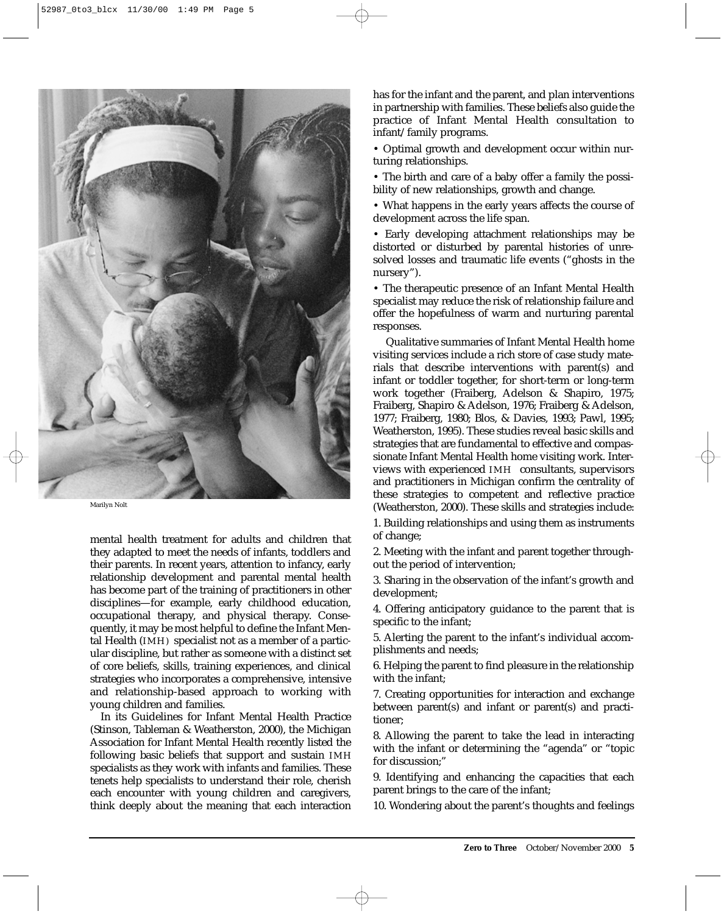

Marilyn Nolt

mental health treatment for adults and children that they adapted to meet the needs of infants, toddlers and their parents. In recent years, attention to infancy, early relationship development and parental mental health has become part of the training of practitioners in other disciplines—for example, early childhood education, occupational therapy, and physical therapy. Consequently, it may be most helpful to define the Infant Mental Health (IMH) specialist not as a member of a particular discipline, but rather as someone with a distinct set of core beliefs, skills, training experiences, and clinical strategies who incorporates a comprehensive, intensive and relationship-based approach to working with young children and families.

In its Guidelines for Infant Mental Health Practice (Stinson, Tableman & Weatherston, 2000), the Michigan Association for Infant Mental Health recently listed the following basic beliefs that support and sustain IMH specialists as they work with infants and families. These tenets help specialists to understand their role, cherish each encounter with young children and caregivers, think deeply about the meaning that each interaction

has for the infant and the parent, and plan interventions in partnership with families. These beliefs also guide the practice of Infant Mental Health consultation to infant/family programs.

• Optimal growth and development occur within nurturing relationships.

• The birth and care of a baby offer a family the possibility of new relationships, growth and change.

• What happens in the early years affects the course of development across the life span.

• Early developing attachment relationships may be distorted or disturbed by parental histories of unresolved losses and traumatic life events ("ghosts in the nursery").

• The therapeutic presence of an Infant Mental Health specialist may reduce the risk of relationship failure and offer the hopefulness of warm and nurturing parental responses.

Qualitative summaries of Infant Mental Health home visiting services include a rich store of case study materials that describe interventions with parent(s) and infant or toddler together, for short-term or long-term work together (Fraiberg, Adelson & Shapiro, 1975; Fraiberg, Shapiro & Adelson, 1976; Fraiberg & Adelson, 1977; Fraiberg, 1980; Blos, & Davies, 1993; Pawl, 1995; Weatherston, 1995). These studies reveal basic skills and strategies that are fundamental to effective and compassionate Infant Mental Health home visiting work. Interviews with experienced IMH consultants, supervisors and practitioners in Michigan confirm the centrality of these strategies to competent and reflective practice (Weatherston, 2000). These skills and strategies include:

1. Building relationships and using them as instruments of change;

2. Meeting with the infant and parent together throughout the period of intervention;

3. Sharing in the observation of the infant's growth and development;

4. Offering anticipatory guidance to the parent that is specific to the infant;

5. Alerting the parent to the infant's individual accomplishments and needs;

6. Helping the parent to find pleasure in the relationship with the infant;

7. Creating opportunities for interaction and exchange between parent(s) and infant or parent(s) and practitioner;

8. Allowing the parent to take the lead in interacting with the infant or determining the "agenda" or "topic for discussion;"

9. Identifying and enhancing the capacities that each parent brings to the care of the infant;

10. Wondering about the parent's thoughts and feelings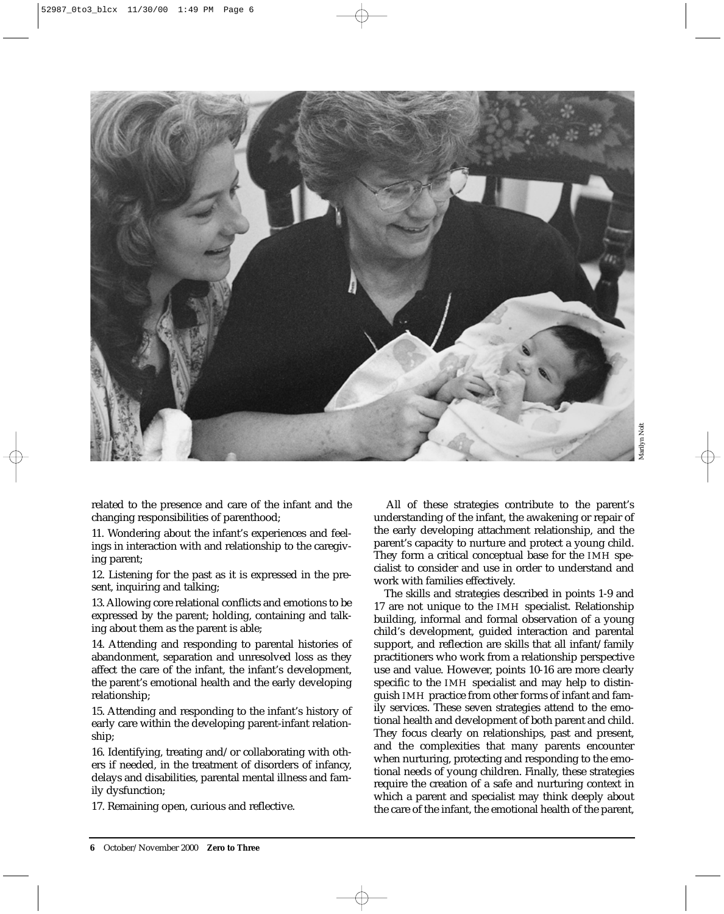

related to the presence and care of the infant and the changing responsibilities of parenthood;

11. Wondering about the infant's experiences and feelings in interaction with and relationship to the caregiving parent;

12. Listening for the past as it is expressed in the present, inquiring and talking;

13. Allowing core relational conflicts and emotions to be expressed by the parent; holding, containing and talking about them as the parent is able;

14. Attending and responding to parental histories of abandonment, separation and unresolved loss as they affect the care of the infant, the infant's development, the parent's emotional health and the early developing relationship;

15. Attending and responding to the infant's history of early care within the developing parent-infant relationship;

16. Identifying, treating and/or collaborating with others if needed, in the treatment of disorders of infancy, delays and disabilities, parental mental illness and family dysfunction;

17. Remaining open, curious and reflective.

All of these strategies contribute to the parent's understanding of the infant, the awakening or repair of the early developing attachment relationship, and the parent's capacity to nurture and protect a young child. They form a critical conceptual base for the IMH specialist to consider and use in order to understand and work with families effectively.

The skills and strategies described in points 1-9 and 17 are not unique to the IMH specialist. Relationship building, informal and formal observation of a young child's development, guided interaction and parental support, and reflection are skills that all infant/family practitioners who work from a relationship perspective use and value. However, points 10-16 are more clearly specific to the IMH specialist and may help to distinguish IMH practice from other forms of infant and family services. These seven strategies attend to the emotional health and development of both parent and child. They focus clearly on relationships, past and present, and the complexities that many parents encounter when nurturing, protecting and responding to the emotional needs of young children. Finally, these strategies require the creation of a safe and nurturing context in which a parent and specialist may think deeply about the care of the infant, the emotional health of the parent,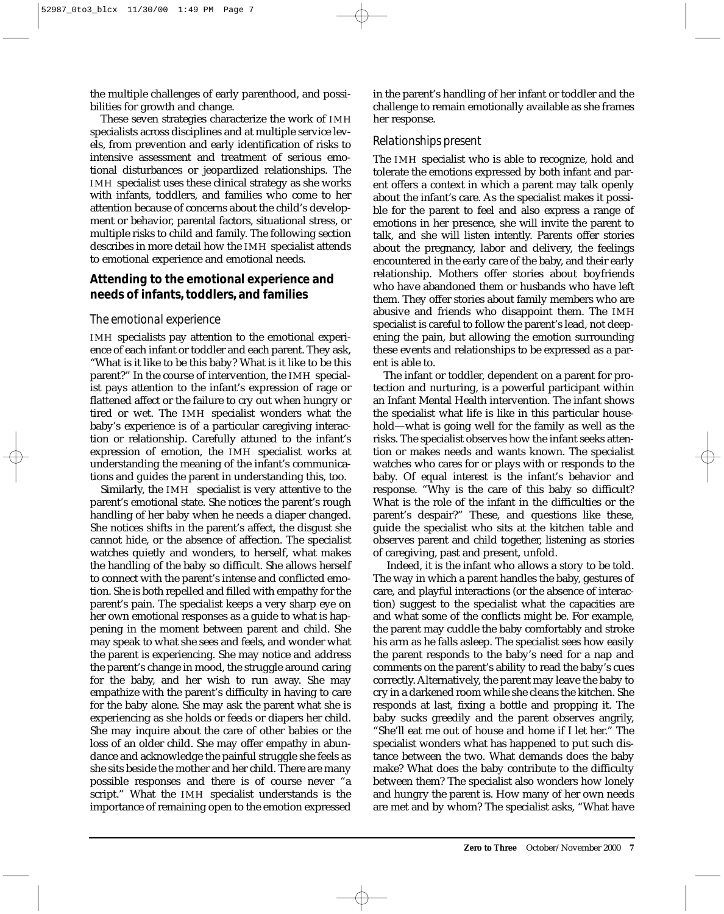the multiple challenges of early parenthood, and possibilities for growth and change.

These seven strategies characterize the work of IMH specialists across disciplines and at multiple service levels, from prevention and early identification of risks to intensive assessment and treatment of serious emotional disturbances or jeopardized relationships. The IMH specialist uses these clinical strategy as she works with infants, toddlers, and families who come to her attention because of concerns about the child's development or behavior, parental factors, situational stress, or multiple risks to child and family. The following section describes in more detail how the IMH specialist attends to emotional experience and emotional needs.

## **Attending to the emotional experience and needs of infants, toddlers, and families**

## *The emotional experience*

IMH specialists pay attention to the emotional experience of each infant or toddler and each parent. They ask, "What is it like to be this baby? What is it like to be this parent?" In the course of intervention, the IMH specialist pays attention to the infant's expression of rage or flattened affect or the failure to cry out when hungry or tired or wet. The IMH specialist wonders what the baby's experience is of a particular caregiving interaction or relationship. Carefully attuned to the infant's expression of emotion, the IMH specialist works at understanding the meaning of the infant's communications and guides the parent in understanding this, too.

Similarly, the IMH specialist is very attentive to the parent's emotional state. She notices the parent's rough handling of her baby when he needs a diaper changed. She notices shifts in the parent's affect, the disgust she cannot hide, or the absence of affection. The specialist watches quietly and wonders, to herself, what makes the handling of the baby so difficult. She allows herself to connect with the parent's intense and conflicted emotion. She is both repelled and filled with empathy for the parent's pain. The specialist keeps a very sharp eye on her own emotional responses as a guide to what is happening in the moment between parent and child. She may speak to what she sees and feels, and wonder what the parent is experiencing. She may notice and address the parent's change in mood, the struggle around caring for the baby, and her wish to run away. She may empathize with the parent's difficulty in having to care for the baby alone. She may ask the parent what she is experiencing as she holds or feeds or diapers her child. She may inquire about the care of other babies or the loss of an older child. She may offer empathy in abundance and acknowledge the painful struggle she feels as she sits beside the mother and her child. There are many possible responses and there is of course never "a script." What the IMH specialist understands is the importance of remaining open to the emotion expressed

in the parent's handling of her infant or toddler and the challenge to remain emotionally available as she frames her response.

## *Relationships present*

The IMH specialist who is able to recognize, hold and tolerate the emotions expressed by both infant and parent offers a context in which a parent may talk openly about the infant's care. As the specialist makes it possible for the parent to feel and also express a range of emotions in her presence, she will invite the parent to talk, and she will listen intently. Parents offer stories about the pregnancy, labor and delivery, the feelings encountered in the early care of the baby, and their early relationship. Mothers offer stories about boyfriends who have abandoned them or husbands who have left them. They offer stories about family members who are abusive and friends who disappoint them. The IMH specialist is careful to follow the parent's lead, not deepening the pain, but allowing the emotion surrounding these events and relationships to be expressed as a parent is able to.

The infant or toddler, dependent on a parent for protection and nurturing, is a powerful participant within an Infant Mental Health intervention. The infant shows the specialist what life is like in this particular household—what is going well for the family as well as the risks. The specialist observes how the infant seeks attention or makes needs and wants known. The specialist watches who cares for or plays with or responds to the baby. Of equal interest is the infant's behavior and response. "Why is the care of this baby so difficult? What is the role of the infant in the difficulties or the parent's despair?" These, and questions like these, guide the specialist who sits at the kitchen table and observes parent and child together, listening as stories of caregiving, past and present, unfold.

Indeed, it is the infant who allows a story to be told. The way in which a parent handles the baby, gestures of care, and playful interactions (or the absence of interaction) suggest to the specialist what the capacities are and what some of the conflicts might be. For example, the parent may cuddle the baby comfortably and stroke his arm as he falls asleep. The specialist sees how easily the parent responds to the baby's need for a nap and comments on the parent's ability to read the baby's cues correctly. Alternatively, the parent may leave the baby to cry in a darkened room while she cleans the kitchen. She responds at last, fixing a bottle and propping it. The baby sucks greedily and the parent observes angrily, "She'll eat me out of house and home if I let her." The specialist wonders what has happened to put such distance between the two. What demands does the baby make? What does the baby contribute to the difficulty between them? The specialist also wonders how lonely and hungry the parent is. How many of her own needs are met and by whom? The specialist asks, "What have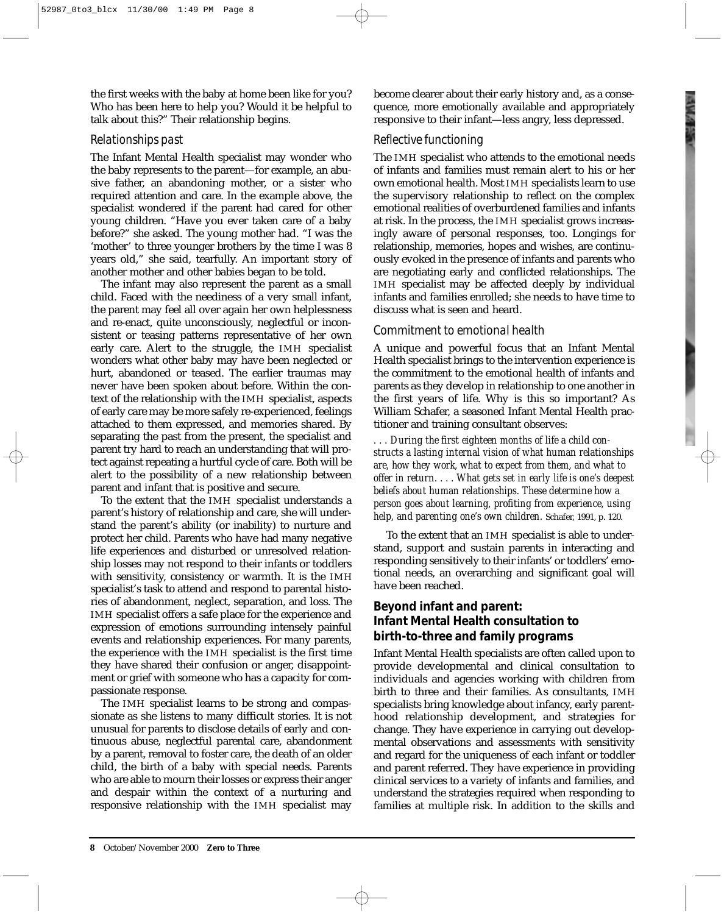the first weeks with the baby at home been like for you? Who has been here to help you? Would it be helpful to talk about this?" Their relationship begins.

## *Relationships past*

The Infant Mental Health specialist may wonder who the baby represents to the parent—for example, an abusive father, an abandoning mother, or a sister who required attention and care. In the example above, the specialist wondered if the parent had cared for other young children. "Have you ever taken care of a baby before?" she asked. The young mother had. "I was the 'mother' to three younger brothers by the time I was 8 years old," she said, tearfully. An important story of another mother and other babies began to be told.

The infant may also represent the parent as a small child. Faced with the neediness of a very small infant, the parent may feel all over again her own helplessness and re-enact, quite unconsciously, neglectful or inconsistent or teasing patterns representative of her own early care. Alert to the struggle, the IMH specialist wonders what other baby may have been neglected or hurt, abandoned or teased. The earlier traumas may never have been spoken about before. Within the context of the relationship with the IMH specialist, aspects of early care may be more safely re-experienced, feelings attached to them expressed, and memories shared. By separating the past from the present, the specialist and parent try hard to reach an understanding that will protect against repeating a hurtful cycle of care. Both will be alert to the possibility of a new relationship between parent and infant that is positive and secure.

To the extent that the IMH specialist understands a parent's history of relationship and care, she will understand the parent's ability (or inability) to nurture and protect her child. Parents who have had many negative life experiences and disturbed or unresolved relationship losses may not respond to their infants or toddlers with sensitivity, consistency or warmth. It is the IMH specialist's task to attend and respond to parental histories of abandonment, neglect, separation, and loss. The IMH specialist offers a safe place for the experience and expression of emotions surrounding intensely painful events and relationship experiences. For many parents, the experience with the IMH specialist is the first time they have shared their confusion or anger, disappointment or grief with someone who has a capacity for compassionate response.

The IMH specialist learns to be strong and compassionate as she listens to many difficult stories. It is not unusual for parents to disclose details of early and continuous abuse, neglectful parental care, abandonment by a parent, removal to foster care, the death of an older child, the birth of a baby with special needs. Parents who are able to mourn their losses or express their anger and despair within the context of a nurturing and responsive relationship with the IMH specialist may

become clearer about their early history and, as a consequence, more emotionally available and appropriately responsive to their infant—less angry, less depressed.

## *Reflective functioning*

The IMH specialist who attends to the emotional needs of infants and families must remain alert to his or her own emotional health. Most IMH specialists learn to use the supervisory relationship to reflect on the complex emotional realities of overburdened families and infants at risk. In the process, the IMH specialist grows increasingly aware of personal responses, too. Longings for relationship, memories, hopes and wishes, are continuously evoked in the presence of infants and parents who are negotiating early and conflicted relationships. The IMH specialist may be affected deeply by individual infants and families enrolled; she needs to have time to discuss what is seen and heard.

## *Commitment to emotional health*

A unique and powerful focus that an Infant Mental Health specialist brings to the intervention experience is the commitment to the emotional health of infants and parents as they develop in relationship to one another in the first years of life. Why is this so important? As William Schafer, a seasoned Infant Mental Health practitioner and training consultant observes:

*. . . During the first eighteen months of life a child constructs a lasting internal vision of what human relationships are, how they work, what to expect from them, and what to offer in return. . . . What gets set in early life is one's deepest beliefs about human relationships. These determine how a person goes about learning, profiting from experience, using help, and parenting one's own children.* Schafer, 1991, p. 120.

To the extent that an IMH specialist is able to understand, support and sustain parents in interacting and responding sensitively to their infants' or toddlers' emotional needs, an overarching and significant goal will have been reached.

# **Beyond infant and parent: Infant Mental Health consultation to birth-to-three and family programs**

Infant Mental Health specialists are often called upon to provide developmental and clinical consultation to individuals and agencies working with children from birth to three and their families. As consultants, IMH specialists bring knowledge about infancy, early parenthood relationship development, and strategies for change. They have experience in carrying out developmental observations and assessments with sensitivity and regard for the uniqueness of each infant or toddler and parent referred. They have experience in providing clinical services to a variety of infants and families, and understand the strategies required when responding to families at multiple risk. In addition to the skills and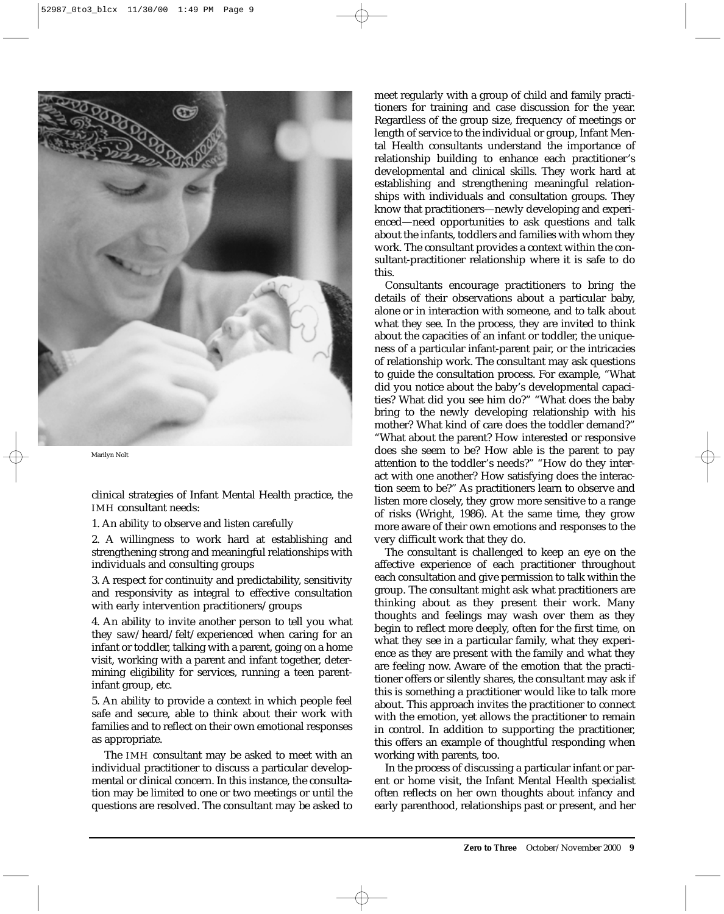

Marilyn Nolt

clinical strategies of Infant Mental Health practice, the IMH consultant needs:

1. An ability to observe and listen carefully

2. A willingness to work hard at establishing and strengthening strong and meaningful relationships with individuals and consulting groups

3. A respect for continuity and predictability, sensitivity and responsivity as integral to effective consultation with early intervention practitioners/groups

4. An ability to invite another person to tell you what they saw/heard/felt/experienced when caring for an infant or toddler, talking with a parent, going on a home visit, working with a parent and infant together, determining eligibility for services, running a teen parentinfant group, etc.

5. An ability to provide a context in which people feel safe and secure, able to think about their work with families and to reflect on their own emotional responses as appropriate.

The IMH consultant may be asked to meet with an individual practitioner to discuss a particular developmental or clinical concern. In this instance, the consultation may be limited to one or two meetings or until the questions are resolved. The consultant may be asked to

meet regularly with a group of child and family practitioners for training and case discussion for the year. Regardless of the group size, frequency of meetings or length of service to the individual or group, Infant Mental Health consultants understand the importance of relationship building to enhance each practitioner's developmental and clinical skills. They work hard at establishing and strengthening meaningful relationships with individuals and consultation groups. They know that practitioners—newly developing and experienced—need opportunities to ask questions and talk about the infants, toddlers and families with whom they work. The consultant provides a context within the consultant-practitioner relationship where it is safe to do this.

Consultants encourage practitioners to bring the details of their observations about a particular baby, alone or in interaction with someone, and to talk about what they see. In the process, they are invited to think about the capacities of an infant or toddler, the uniqueness of a particular infant-parent pair, or the intricacies of relationship work. The consultant may ask questions to guide the consultation process. For example, "What did you notice about the baby's developmental capacities? What did you see him do?" "What does the baby bring to the newly developing relationship with his mother? What kind of care does the toddler demand?" "What about the parent? How interested or responsive does she seem to be? How able is the parent to pay attention to the toddler's needs?" "How do they interact with one another? How satisfying does the interaction seem to be?" As practitioners learn to observe and listen more closely, they grow more sensitive to a range of risks (Wright, 1986). At the same time, they grow more aware of their own emotions and responses to the very difficult work that they do.

The consultant is challenged to keep an eye on the affective experience of each practitioner throughout each consultation and give permission to talk within the group. The consultant might ask what practitioners are thinking about as they present their work. Many thoughts and feelings may wash over them as they begin to reflect more deeply, often for the first time, on what they see in a particular family, what they experience as they are present with the family and what they are feeling now. Aware of the emotion that the practitioner offers or silently shares, the consultant may ask if this is something a practitioner would like to talk more about. This approach invites the practitioner to connect with the emotion, yet allows the practitioner to remain in control. In addition to supporting the practitioner, this offers an example of thoughtful responding when working with parents, too.

In the process of discussing a particular infant or parent or home visit, the Infant Mental Health specialist often reflects on her own thoughts about infancy and early parenthood, relationships past or present, and her